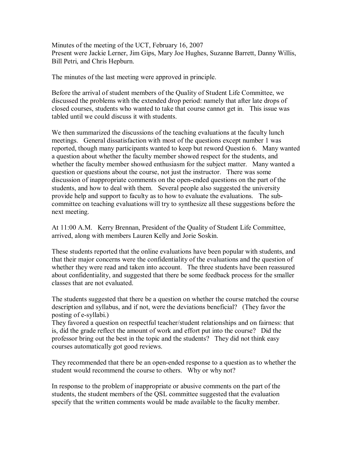Minutes of the meeting of the UCT, February 16, 2007 Present were Jackie Lerner, Jim Gips, Mary Joe Hughes, Suzanne Barrett, Danny Willis, Bill Petri, and Chris Hepburn.

The minutes of the last meeting were approved in principle.

Before the arrival of student members of the Quality of Student Life Committee, we discussed the problems with the extended drop period: namely that after late drops of closed courses, students who wanted to take that course cannot get in. This issue was tabled until we could discuss it with students.

We then summarized the discussions of the teaching evaluations at the faculty lunch meetings. General dissatisfaction with most of the questions except number 1 was reported, though many participants wanted to keep but reword Question 6. Many wanted a question about whether the faculty member showed respect for the students, and whether the faculty member showed enthusiasm for the subject matter. Many wanted a question or questions about the course, not just the instructor. There was some discussion of inappropriate comments on the open-ended questions on the part of the students, and how to deal with them. Several people also suggested the university provide help and support to faculty as to how to evaluate the evaluations. The subcommittee on teaching evaluations will try to synthesize all these suggestions before the next meeting.

At 11:00 A.M. Kerry Brennan, President of the Quality of Student Life Committee, arrived, along with members Lauren Kelly and Jorie Soskin.

These students reported that the online evaluations have been popular with students, and that their major concerns were the confidentiality of the evaluations and the question of whether they were read and taken into account. The three students have been reassured about confidentiality, and suggested that there be some feedback process for the smaller classes that are not evaluated.

The students suggested that there be a question on whether the course matched the course description and syllabus, and if not, were the deviations beneficial? (They favor the posting of e-syllabi.)

They favored a question on respectful teacher/student relationships and on fairness: that is, did the grade reflect the amount of work and effort put into the course? Did the professor bring out the best in the topic and the students? They did not think easy courses automatically got good reviews.

They recommended that there be an openended response to a question as to whether the student would recommend the course to others. Why or why not?

In response to the problem of inappropriate or abusive comments on the part of the students, the student members of the QSL committee suggested that the evaluation specify that the written comments would be made available to the faculty member.